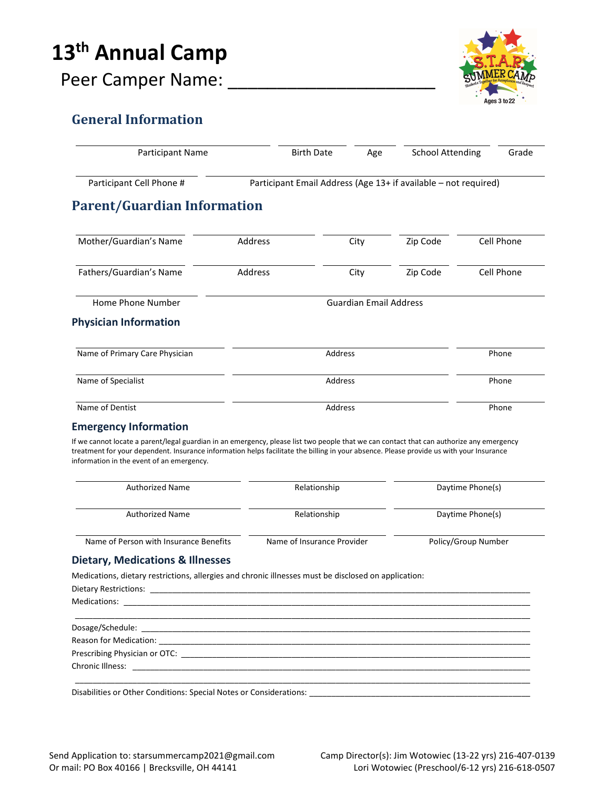# 13<sup>th</sup> Annual Camp



# Peer Camper Name:

#### General Information

| Participant Cell Phone #                                                                                                                                                                                                                                                                                                         | Participant Email Address (Age 13+ if available - not required) |      |                     |                  |            |  |
|----------------------------------------------------------------------------------------------------------------------------------------------------------------------------------------------------------------------------------------------------------------------------------------------------------------------------------|-----------------------------------------------------------------|------|---------------------|------------------|------------|--|
| <b>Parent/Guardian Information</b>                                                                                                                                                                                                                                                                                               |                                                                 |      |                     |                  |            |  |
| Mother/Guardian's Name<br>Address                                                                                                                                                                                                                                                                                                |                                                                 | City | Zip Code            |                  | Cell Phone |  |
| Fathers/Guardian's Name<br>Address                                                                                                                                                                                                                                                                                               |                                                                 | City | Zip Code            |                  | Cell Phone |  |
| Home Phone Number                                                                                                                                                                                                                                                                                                                | <b>Guardian Email Address</b>                                   |      |                     |                  |            |  |
| <b>Physician Information</b>                                                                                                                                                                                                                                                                                                     |                                                                 |      |                     |                  |            |  |
| Name of Primary Care Physician                                                                                                                                                                                                                                                                                                   | Address                                                         |      |                     | Phone            |            |  |
| Name of Specialist                                                                                                                                                                                                                                                                                                               | Address                                                         |      |                     |                  | Phone      |  |
| Name of Dentist                                                                                                                                                                                                                                                                                                                  | Address                                                         |      |                     |                  | Phone      |  |
| <b>Emergency Information</b>                                                                                                                                                                                                                                                                                                     |                                                                 |      |                     |                  |            |  |
| If we cannot locate a parent/legal guardian in an emergency, please list two people that we can contact that can authorize any emergency<br>treatment for your dependent. Insurance information helps facilitate the billing in your absence. Please provide us with your Insurance<br>information in the event of an emergency. |                                                                 |      |                     |                  |            |  |
| <b>Authorized Name</b>                                                                                                                                                                                                                                                                                                           | Relationship                                                    |      |                     | Daytime Phone(s) |            |  |
| <b>Authorized Name</b>                                                                                                                                                                                                                                                                                                           | Relationship                                                    |      | Daytime Phone(s)    |                  |            |  |
| Name of Person with Insurance Benefits                                                                                                                                                                                                                                                                                           | Name of Insurance Provider                                      |      | Policy/Group Number |                  |            |  |
| <b>Dietary, Medications &amp; Illnesses</b>                                                                                                                                                                                                                                                                                      |                                                                 |      |                     |                  |            |  |
| Medications, dietary restrictions, allergies and chronic illnesses must be disclosed on application:                                                                                                                                                                                                                             |                                                                 |      |                     |                  |            |  |
| Dietary Restrictions: _                                                                                                                                                                                                                                                                                                          |                                                                 |      |                     |                  |            |  |
|                                                                                                                                                                                                                                                                                                                                  |                                                                 |      |                     |                  |            |  |
|                                                                                                                                                                                                                                                                                                                                  |                                                                 |      |                     |                  |            |  |
| Reason for Medication: We are also as a series of the series of the series of the series of the series of the series of the series of the series of the series of the series of the series of the series of the series of the                                                                                                    |                                                                 |      |                     |                  |            |  |
|                                                                                                                                                                                                                                                                                                                                  |                                                                 |      |                     |                  |            |  |
|                                                                                                                                                                                                                                                                                                                                  |                                                                 |      |                     |                  |            |  |
| Disabilities or Other Conditions: Special Notes or Considerations: ________________________________                                                                                                                                                                                                                              |                                                                 |      |                     |                  |            |  |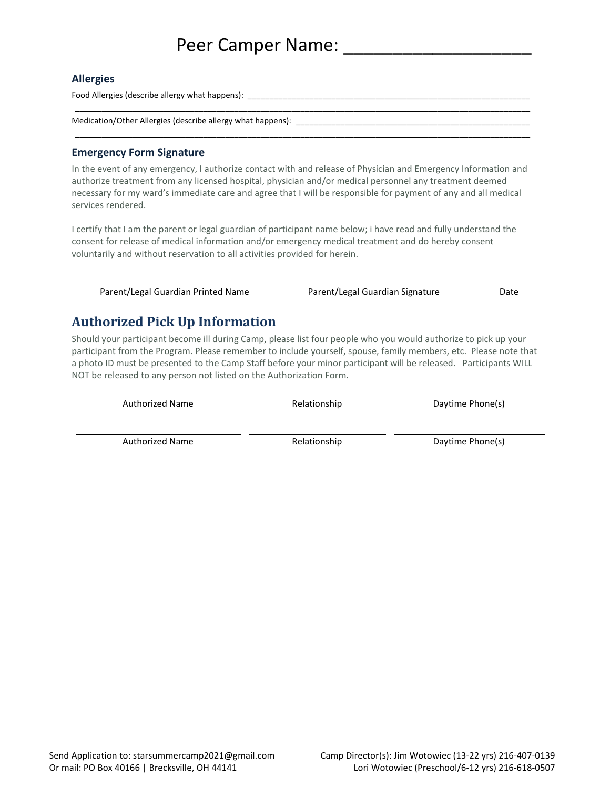### Peer Camper Name:

#### Allergies

Food Allergies (describe allergy what happens):

Medication/Other Allergies (describe allergy what happens):

#### Emergency Form Signature

In the event of any emergency, I authorize contact with and release of Physician and Emergency Information and authorize treatment from any licensed hospital, physician and/or medical personnel any treatment deemed necessary for my ward's immediate care and agree that I will be responsible for payment of any and all medical services rendered.

\_\_\_\_\_\_\_\_\_\_\_\_\_\_\_\_\_\_\_\_\_\_\_\_\_\_\_\_\_\_\_\_\_\_\_\_\_\_\_\_\_\_\_\_\_\_\_\_\_\_\_\_\_\_\_\_\_\_\_\_\_\_\_\_\_\_\_\_\_\_\_\_\_\_\_\_\_\_\_\_\_\_\_\_\_\_\_\_\_\_\_\_\_\_\_\_\_\_\_\_\_\_\_

\_\_\_\_\_\_\_\_\_\_\_\_\_\_\_\_\_\_\_\_\_\_\_\_\_\_\_\_\_\_\_\_\_\_\_\_\_\_\_\_\_\_\_\_\_\_\_\_\_\_\_\_\_\_\_\_\_\_\_\_\_\_\_\_\_\_\_\_\_\_\_\_\_\_\_\_\_\_\_\_\_\_\_\_\_\_\_\_\_\_\_\_\_\_\_\_\_\_\_\_\_\_\_

I certify that I am the parent or legal guardian of participant name below; i have read and fully understand the consent for release of medical information and/or emergency medical treatment and do hereby consent voluntarily and without reservation to all activities provided for herein.

Parent/Legal Guardian Printed Name Parent/Legal Guardian Signature Date

#### Authorized Pick Up Information

Should your participant become ill during Camp, please list four people who you would authorize to pick up your participant from the Program. Please remember to include yourself, spouse, family members, etc. Please note that a photo ID must be presented to the Camp Staff before your minor participant will be released. Participants WILL NOT be released to any person not listed on the Authorization Form.

Authorized Name **Relationship** Relationship Daytime Phone(s)

Authorized Name The Relationship Controller Maytime Phone(s)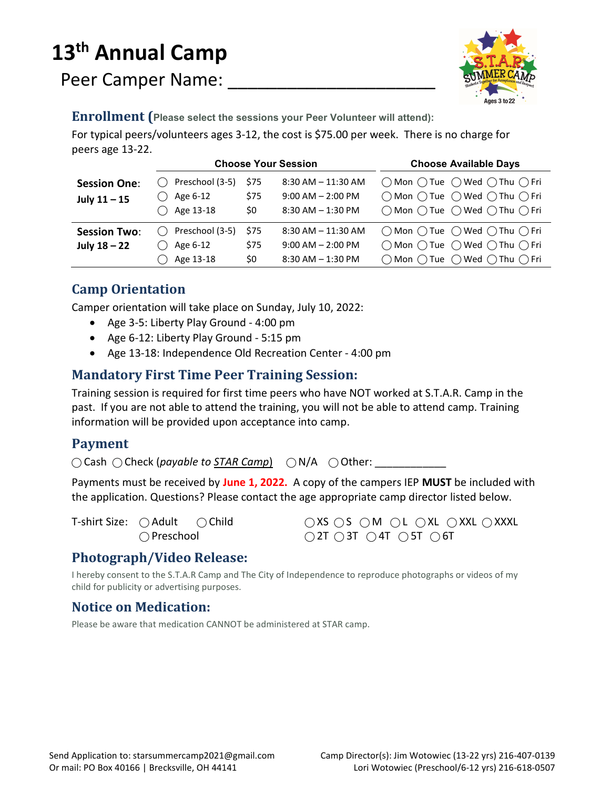# 13<sup>th</sup> Annual Camp

Peer Camper Name:



Enrollment (Please select the sessions your Peer Volunteer will attend):

For typical peers/volunteers ages 3-12, the cost is \$75.00 per week. There is no charge for peers age 13-22.

|                                       | <b>Choose Your Session</b>                                       |                     |                                                                        | <b>Choose Available Days</b>                                                                                                                                                                                            |
|---------------------------------------|------------------------------------------------------------------|---------------------|------------------------------------------------------------------------|-------------------------------------------------------------------------------------------------------------------------------------------------------------------------------------------------------------------------|
| <b>Session One:</b><br>July $11 - 15$ | ◯ Preschool (3-5)<br>$\bigcirc$ Age 6-12<br>$\bigcirc$ Age 13-18 | \$75<br>\$75<br>\$0 | $8:30$ AM $-11:30$ AM<br>$9:00$ AM $- 2:00$ PM<br>$8:30$ AM $-1:30$ PM | $\bigcap$ Mon $\bigcap$ Tue $\bigcap$ Wed $\bigcap$ Thu $\bigcap$ Fri<br>$\bigcap$ Mon $\bigcap$ Tue $\bigcap$ Wed $\bigcap$ Thu $\bigcap$ Fri<br>$\bigcap$ Mon $\bigcap$ Tue $\bigcap$ Wed $\bigcap$ Thu $\bigcap$ Fri |
| <b>Session Two:</b><br>July $18 - 22$ | $\bigcirc$ Preschool (3-5)<br>Age 6-12<br>$\cdots$<br>Age 13-18  | \$75<br>\$75<br>\$0 | $8:30$ AM $-11:30$ AM<br>$9:00$ AM $- 2:00$ PM<br>$8:30$ AM $-1:30$ PM | $\bigcap$ Mon $\bigcap$ Tue $\bigcap$ Wed $\bigcap$ Thu $\bigcap$ Fri<br>$\bigcap$ Mon $\bigcap$ Tue $\bigcap$ Wed $\bigcap$ Thu $\bigcap$ Fri<br>$\bigcap$ Mon $\bigcap$ Tue $\bigcap$ Wed $\bigcap$ Thu $\bigcap$ Fri |

#### Camp Orientation

Camper orientation will take place on Sunday, July 10, 2022:

- Age 3-5: Liberty Play Ground 4:00 pm
- Age 6-12: Liberty Play Ground 5:15 pm
- Age 13-18: Independence Old Recreation Center 4:00 pm

#### Mandatory First Time Peer Training Session:

Training session is required for first time peers who have NOT worked at S.T.A.R. Camp in the past. If you are not able to attend the training, you will not be able to attend camp. Training information will be provided upon acceptance into camp.

#### Payment

 $\bigcirc$  Cash  $\bigcirc$  Check (payable to STAR Camp)  $\bigcirc$  N/A  $\bigcirc$  Other:

Payments must be received by June 1, 2022. A copy of the campers IEP MUST be included with the application. Questions? Please contact the age appropriate camp director listed below.

T-shirt Size: ○ Adult ○ Child ○ XS ○ S ○ M ○ L ○ XL ○ XXL ○ XXXL  $\bigcirc$  Preschool  $\bigcirc$  2T  $\bigcirc$  3T  $\bigcirc$  4T  $\bigcirc$  5T  $\bigcirc$  6T

#### Photograph/Video Release:

I hereby consent to the S.T.A.R Camp and The City of Independence to reproduce photographs or videos of my child for publicity or advertising purposes.

#### Notice on Medication:

Please be aware that medication CANNOT be administered at STAR camp.